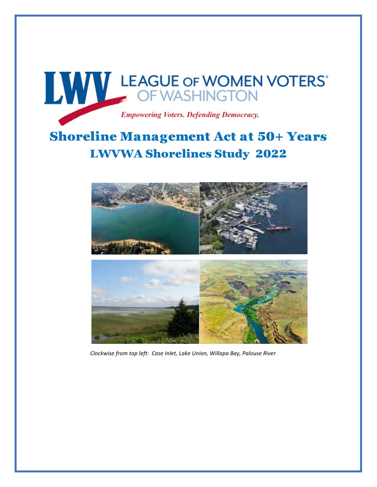

## Shoreline Management Act at 50+ Years LWVWA Shorelines Study 2022



*Clockwise from top left: Case Inlet, Lake Union, Willapa Bay, Palouse River*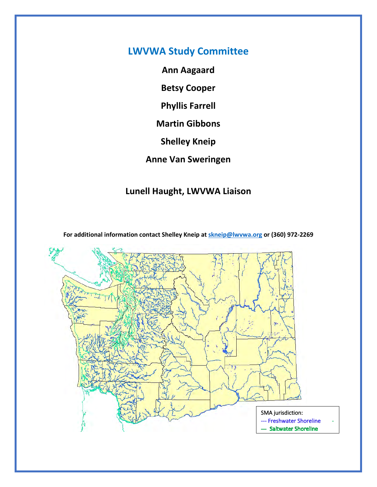## **LWVWA Study Committee**

**Ann Aagaard**

**Betsy Cooper** 

**Phyllis Farrell**

**Martin Gibbons**

**Shelley Kneip** 

**Anne Van Sweringen**

## **Lunell Haught, LWVWA Liaison**

**For additional information contact Shelley Kneip a[t skneip@lwvwa.org](mailto:skneip@lwvwa.org) or (360) 972-2269**

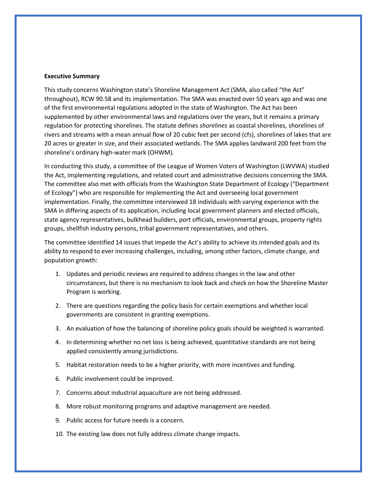## **Executive Summary**

This study concerns Washington state's Shoreline Management Act (SMA, also called "the Act" throughout), RCW 90.58 and its implementation. The SMA was enacted over 50 years ago and was one of the first environmental regulations adopted in the state of Washington. The Act has been supplemented by other environmental laws and regulations over the years, but it remains a primary regulation for protecting shorelines. The statute defines *shorelines* as coastal shorelines, shorelines of rivers and streams with a mean annual flow of 20 cubic feet per second (cfs), shorelines of lakes that are 20 acres or greater in size, and their associated wetlands. The SMA applies landward 200 feet from the shoreline's ordinary high-water mark (OHWM).

In conducting this study, a committee of the League of Women Voters of Washington (LWVWA) studied the Act, implementing regulations, and related court and administrative decisions concerning the SMA. The committee also met with officials from the Washington State Department of Ecology ("Department of Ecology") who are responsible for implementing the Act and overseeing local government implementation. Finally, the committee interviewed 18 individuals with varying experience with the SMA in differing aspects of its application, including local government planners and elected officials, state agency representatives, bulkhead builders, port officials, environmental groups, property rights groups, shellfish industry persons, tribal government representatives, and others.

The committee identified 14 issues that impede the Act's ability to achieve its intended goals and its ability to respond to ever increasing challenges, including, among other factors, climate change, and population growth:

- 1. Updates and periodic reviews are required to address changes in the law and other circumstances, but there is no mechanism to look back and check on how the Shoreline Master Program is working.
- 2. There are questions regarding the policy basis for certain exemptions and whether local governments are consistent in granting exemptions.
- 3. An evaluation of how the balancing of shoreline policy goals should be weighted is warranted.
- 4. In determining whether no net loss is being achieved, quantitative standards are not being applied consistently among jurisdictions.
- 5. Habitat restoration needs to be a higher priority, with more incentives and funding.
- 6. Public involvement could be improved.
- 7. Concerns about industrial aquaculture are not being addressed.
- 8. More robust monitoring programs and adaptive management are needed.
- 9. Public access for future needs is a concern.
- 10. The existing law does not fully address climate change impacts.